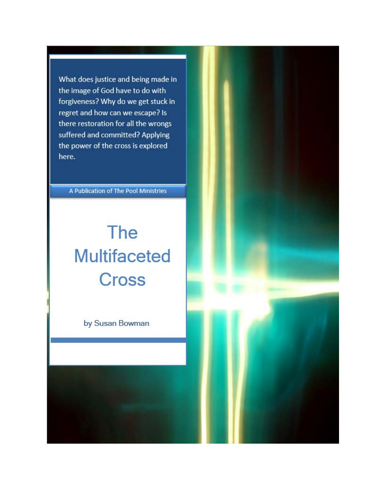What does justice and being made in the image of God have to do with forgiveness? Why do we get stuck in regret and how can we escape? Is there restoration for all the wrongs suffered and committed? Applying the power of the cross is explored here.

A Publication of The Pool Ministries

# The **Multifaceted Cross**

by Susan Bowman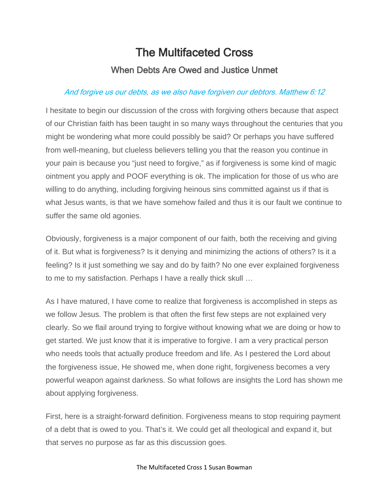## The Multifaceted Cross When Debts Are Owed and Justice Unmet

## And forgive us our debts, as we also have forgiven our debtors. Matthew 6:12

I hesitate to begin our discussion of the cross with forgiving others because that aspect of our Christian faith has been taught in so many ways throughout the centuries that you might be wondering what more could possibly be said? Or perhaps you have suffered from well-meaning, but clueless believers telling you that the reason you continue in your pain is because you "just need to forgive," as if forgiveness is some kind of magic ointment you apply and POOF everything is ok. The implication for those of us who are willing to do anything, including forgiving heinous sins committed against us if that is what Jesus wants, is that we have somehow failed and thus it is our fault we continue to suffer the same old agonies.

Obviously, forgiveness is a major component of our faith, both the receiving and giving of it. But what is forgiveness? Is it denying and minimizing the actions of others? Is it a feeling? Is it just something we say and do by faith? No one ever explained forgiveness to me to my satisfaction. Perhaps I have a really thick skull …

As I have matured, I have come to realize that forgiveness is accomplished in steps as we follow Jesus. The problem is that often the first few steps are not explained very clearly. So we flail around trying to forgive without knowing what we are doing or how to get started. We just know that it is imperative to forgive. I am a very practical person who needs tools that actually produce freedom and life. As I pestered the Lord about the forgiveness issue, He showed me, when done right, forgiveness becomes a very powerful weapon against darkness. So what follows are insights the Lord has shown me about applying forgiveness.

First, here is a straight-forward definition. Forgiveness means to stop requiring payment of a debt that is owed to you. That's it. We could get all theological and expand it, but that serves no purpose as far as this discussion goes.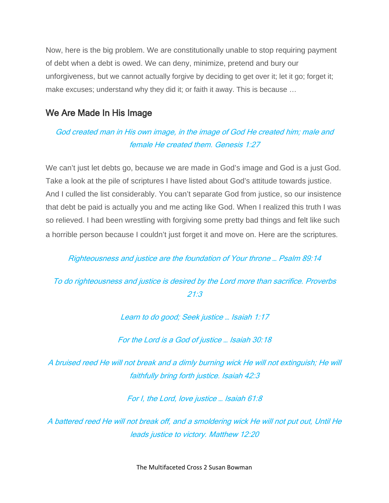Now, here is the big problem. We are constitutionally unable to stop requiring payment of debt when a debt is owed. We can deny, minimize, pretend and bury our unforgiveness, but we cannot actually forgive by deciding to get over it; let it go; forget it; make excuses; understand why they did it; or faith it away. This is because …

#### We Are Made In His Image

### God created man in His own image, in the image of God He created him; male and female He created them. Genesis 1:27

We can't just let debts go, because we are made in God's image and God is a just God. Take a look at the pile of scriptures I have listed about God's attitude towards justice. And I culled the list considerably. You can't separate God from justice, so our insistence that debt be paid is actually you and me acting like God. When I realized this truth I was so relieved. I had been wrestling with forgiving some pretty bad things and felt like such a horrible person because I couldn't just forget it and move on. Here are the scriptures.

#### Righteousness and justice are the foundation of Your throne … Psalm 89:14

#### To do righteousness and justice is desired by the Lord more than sacrifice. Proverbs 21:3

#### Learn to do good; Seek justice … Isaiah 1:17

For the Lord is a God of justice … Isaiah 30:18

A bruised reed He will not break and a dimly burning wick He will not extinguish; He will faithfully bring forth justice. Isaiah 42:3

For I, the Lord, love justice … Isaiah 61:8

A battered reed He will not break off, and a smoldering wick He will not put out, Until He leads justice to victory. Matthew 12:20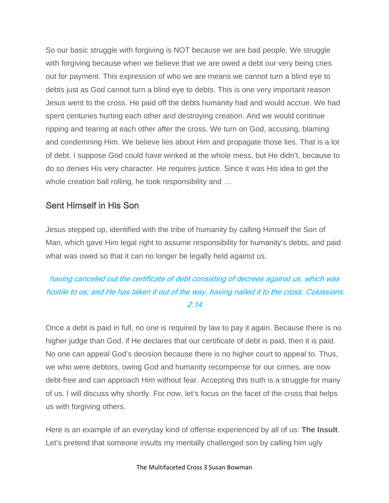So our basic struggle with forgiving is NOT because we are bad people. We struggle with forgiving because when we believe that we are owed a debt our very being cries out for payment. This expression of who we are means we cannot turn a blind eye to debts just as God cannot turn a blind eye to debts. This is one very important reason Jesus went to the cross. He paid off the debts humanity had and would accrue. We had spent centuries hurting each other and destroying creation. And we would continue ripping and tearing at each other after the cross. We turn on God, accusing, blaming and condemning Him. We believe lies about Him and propagate those lies. That is a lot of debt. I suppose God could have winked at the whole mess, but He didn't, because to do so denies His very character. He requires justice. Since it was His idea to get the whole creation ball rolling, he took responsibility and …

#### Sent Himself in His Son

Jesus stepped up, identified with the tribe of humanity by calling Himself the Son of Man, which gave Him legal right to assume responsibility for humanity's debts, and paid what was owed so that it can no longer be legally held against us.

#### having canceled out the certificate of debt consisting of decrees against us, which was hostile to us; and He has taken it out of the way, having nailed it to the cross. Colossians 2:14

Once a debt is paid in full, no one is required by law to pay it again. Because there is no higher judge than God, if He declares that our certificate of debt is paid, then it is paid. No one can appeal God's decision because there is no higher court to appeal to. Thus, we who were debtors, owing God and humanity recompense for our crimes, are now debt-free and can approach Him without fear. Accepting this truth is a struggle for many of us. I will discuss why shortly. For now, let's focus on the facet of the cross that helps us with forgiving others.

Here is an example of an everyday kind of offense experienced by all of us: **The Insult**. Let's pretend that someone insults my mentally challenged son by calling him ugly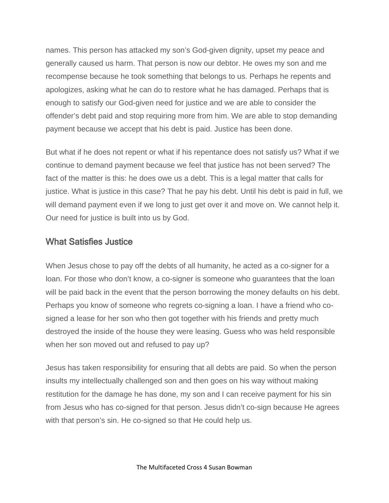names. This person has attacked my son's God-given dignity, upset my peace and generally caused us harm. That person is now our debtor. He owes my son and me recompense because he took something that belongs to us. Perhaps he repents and apologizes, asking what he can do to restore what he has damaged. Perhaps that is enough to satisfy our God-given need for justice and we are able to consider the offender's debt paid and stop requiring more from him. We are able to stop demanding payment because we accept that his debt is paid. Justice has been done.

But what if he does not repent or what if his repentance does not satisfy us? What if we continue to demand payment because we feel that justice has not been served? The fact of the matter is this: he does owe us a debt. This is a legal matter that calls for justice. What is justice in this case? That he pay his debt. Until his debt is paid in full, we will demand payment even if we long to just get over it and move on. We cannot help it. Our need for justice is built into us by God.

#### What Satisfies Justice

When Jesus chose to pay off the debts of all humanity, he acted as a co-signer for a loan. For those who don't know, a co-signer is someone who guarantees that the loan will be paid back in the event that the person borrowing the money defaults on his debt. Perhaps you know of someone who regrets co-signing a loan. I have a friend who cosigned a lease for her son who then got together with his friends and pretty much destroyed the inside of the house they were leasing. Guess who was held responsible when her son moved out and refused to pay up?

Jesus has taken responsibility for ensuring that all debts are paid. So when the person insults my intellectually challenged son and then goes on his way without making restitution for the damage he has done, my son and I can receive payment for his sin from Jesus who has co-signed for that person. Jesus didn't co-sign because He agrees with that person's sin. He co-signed so that He could help us.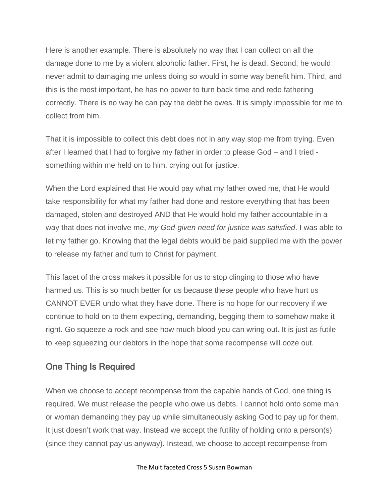Here is another example. There is absolutely no way that I can collect on all the damage done to me by a violent alcoholic father. First, he is dead. Second, he would never admit to damaging me unless doing so would in some way benefit him. Third, and this is the most important, he has no power to turn back time and redo fathering correctly. There is no way he can pay the debt he owes. It is simply impossible for me to collect from him.

That it is impossible to collect this debt does not in any way stop me from trying. Even after I learned that I had to forgive my father in order to please God – and I tried something within me held on to him, crying out for justice.

When the Lord explained that He would pay what my father owed me, that He would take responsibility for what my father had done and restore everything that has been damaged, stolen and destroyed AND that He would hold my father accountable in a way that does not involve me, *my God-given need for justice was satisfied*. I was able to let my father go. Knowing that the legal debts would be paid supplied me with the power to release my father and turn to Christ for payment.

This facet of the cross makes it possible for us to stop clinging to those who have harmed us. This is so much better for us because these people who have hurt us CANNOT EVER undo what they have done. There is no hope for our recovery if we continue to hold on to them expecting, demanding, begging them to somehow make it right. Go squeeze a rock and see how much blood you can wring out. It is just as futile to keep squeezing our debtors in the hope that some recompense will ooze out.

#### One Thing Is Required

When we choose to accept recompense from the capable hands of God, one thing is required. We must release the people who owe us debts. I cannot hold onto some man or woman demanding they pay up while simultaneously asking God to pay up for them. It just doesn't work that way. Instead we accept the futility of holding onto a person(s) (since they cannot pay us anyway). Instead, we choose to accept recompense from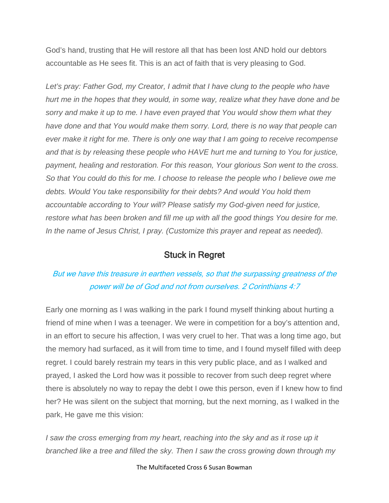God's hand, trusting that He will restore all that has been lost AND hold our debtors accountable as He sees fit. This is an act of faith that is very pleasing to God.

Let's pray: Father God, my Creator, I admit that I have clung to the people who have *hurt me in the hopes that they would, in some way, realize what they have done and be sorry and make it up to me. I have even prayed that You would show them what they have done and that You would make them sorry. Lord, there is no way that people can ever make it right for me. There is only one way that I am going to receive recompense and that is by releasing these people who HAVE hurt me and turning to You for justice, payment, healing and restoration. For this reason, Your glorious Son went to the cross. So that You could do this for me. I choose to release the people who I believe owe me debts. Would You take responsibility for their debts? And would You hold them accountable according to Your will? Please satisfy my God-given need for justice, restore what has been broken and fill me up with all the good things You desire for me. In the name of Jesus Christ, I pray. (Customize this prayer and repeat as needed).*

#### Stuck in Regret

#### But we have this treasure in earthen vessels, so that the surpassing greatness of the power will be of God and not from ourselves. 2 Corinthians 4:7

Early one morning as I was walking in the park I found myself thinking about hurting a friend of mine when I was a teenager. We were in competition for a boy's attention and, in an effort to secure his affection, I was very cruel to her. That was a long time ago, but the memory had surfaced, as it will from time to time, and I found myself filled with deep regret. I could barely restrain my tears in this very public place, and as I walked and prayed, I asked the Lord how was it possible to recover from such deep regret where there is absolutely no way to repay the debt I owe this person, even if I knew how to find her? He was silent on the subject that morning, but the next morning, as I walked in the park, He gave me this vision:

*I* saw the cross emerging from my heart, reaching into the sky and as it rose up it *branched like a tree and filled the sky. Then I saw the cross growing down through my* 

The Multifaceted Cross 6 Susan Bowman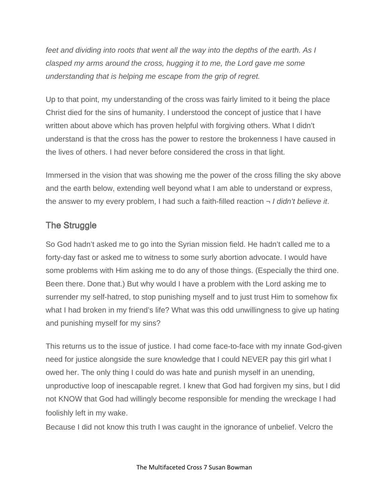*feet and dividing into roots that went all the way into the depths of the earth. As I clasped my arms around the cross, hugging it to me, the Lord gave me some understanding that is helping me escape from the grip of regret.*

Up to that point, my understanding of the cross was fairly limited to it being the place Christ died for the sins of humanity. I understood the concept of justice that I have written about above which has proven helpful with forgiving others. What I didn't understand is that the cross has the power to restore the brokenness I have caused in the lives of others. I had never before considered the cross in that light.

Immersed in the vision that was showing me the power of the cross filling the sky above and the earth below, extending well beyond what I am able to understand or express, the answer to my every problem, I had such a faith-filled reaction ¬ *I didn't believe it*.

#### The Struggle

So God hadn't asked me to go into the Syrian mission field. He hadn't called me to a forty-day fast or asked me to witness to some surly abortion advocate. I would have some problems with Him asking me to do any of those things. (Especially the third one. Been there. Done that.) But why would I have a problem with the Lord asking me to surrender my self-hatred, to stop punishing myself and to just trust Him to somehow fix what I had broken in my friend's life? What was this odd unwillingness to give up hating and punishing myself for my sins?

This returns us to the issue of justice. I had come face-to-face with my innate God-given need for justice alongside the sure knowledge that I could NEVER pay this girl what I owed her. The only thing I could do was hate and punish myself in an unending, unproductive loop of inescapable regret. I knew that God had forgiven my sins, but I did not KNOW that God had willingly become responsible for mending the wreckage I had foolishly left in my wake.

Because I did not know this truth I was caught in the ignorance of unbelief. Velcro the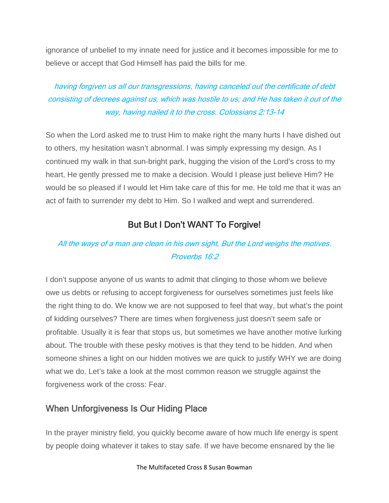ignorance of unbelief to my innate need for justice and it becomes impossible for me to believe or accept that God Himself has paid the bills for me.

#### having forgiven us all our transgressions, having canceled out the certificate of debt consisting of decrees against us, which was hostile to us; and He has taken it out of the way, having nailed it to the cross. Colossians 2:13-14

So when the Lord asked me to trust Him to make right the many hurts I have dished out to others, my hesitation wasn't abnormal. I was simply expressing my design. As I continued my walk in that sun-bright park, hugging the vision of the Lord's cross to my heart, He gently pressed me to make a decision. Would I please just believe Him? He would be so pleased if I would let Him take care of this for me. He told me that it was an act of faith to surrender my debt to Him. So I walked and wept and surrendered.

#### But But I Don't WANT To Forgive!

#### All the ways of a man are clean in his own sight, But the Lord weighs the motives. Proverbs 16:2

I don't suppose anyone of us wants to admit that clinging to those whom we believe owe us debts or refusing to accept forgiveness for ourselves sometimes just feels like the right thing to do. We know we are not supposed to feel that way, but what's the point of kidding ourselves? There are times when forgiveness just doesn't seem safe or profitable. Usually it is fear that stops us, but sometimes we have another motive lurking about. The trouble with these pesky motives is that they tend to be hidden. And when someone shines a light on our hidden motives we are quick to justify WHY we are doing what we do. Let's take a look at the most common reason we struggle against the forgiveness work of the cross: Fear.

#### When Unforgiveness Is Our Hiding Place

In the prayer ministry field, you quickly become aware of how much life energy is spent by people doing whatever it takes to stay safe. If we have become ensnared by the lie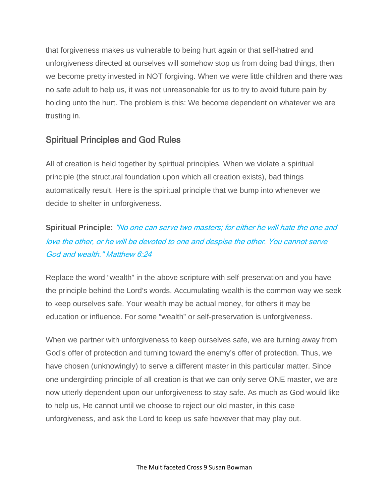that forgiveness makes us vulnerable to being hurt again or that self-hatred and unforgiveness directed at ourselves will somehow stop us from doing bad things, then we become pretty invested in NOT forgiving. When we were little children and there was no safe adult to help us, it was not unreasonable for us to try to avoid future pain by holding unto the hurt. The problem is this: We become dependent on whatever we are trusting in.

#### Spiritual Principles and God Rules

All of creation is held together by spiritual principles. When we violate a spiritual principle (the structural foundation upon which all creation exists), bad things automatically result. Here is the spiritual principle that we bump into whenever we decide to shelter in unforgiveness.

## **Spiritual Principle:** "No one can serve two masters; for either he will hate the one and love the other, or he will be devoted to one and despise the other. You cannot serve God and wealth." Matthew 6:24

Replace the word "wealth" in the above scripture with self-preservation and you have the principle behind the Lord's words. Accumulating wealth is the common way we seek to keep ourselves safe. Your wealth may be actual money, for others it may be education or influence. For some "wealth" or self-preservation is unforgiveness.

When we partner with unforgiveness to keep ourselves safe, we are turning away from God's offer of protection and turning toward the enemy's offer of protection. Thus, we have chosen (unknowingly) to serve a different master in this particular matter. Since one undergirding principle of all creation is that we can only serve ONE master, we are now utterly dependent upon our unforgiveness to stay safe. As much as God would like to help us, He cannot until we choose to reject our old master, in this case unforgiveness, and ask the Lord to keep us safe however that may play out.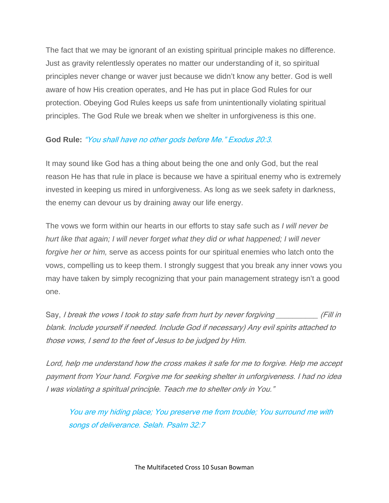The fact that we may be ignorant of an existing spiritual principle makes no difference. Just as gravity relentlessly operates no matter our understanding of it, so spiritual principles never change or waver just because we didn't know any better. God is well aware of how His creation operates, and He has put in place God Rules for our protection. Obeying God Rules keeps us safe from unintentionally violating spiritual principles. The God Rule we break when we shelter in unforgiveness is this one.

#### **God Rule:** "You shall have no other gods before Me." Exodus 20:3.

It may sound like God has a thing about being the one and only God, but the real reason He has that rule in place is because we have a spiritual enemy who is extremely invested in keeping us mired in unforgiveness. As long as we seek safety in darkness, the enemy can devour us by draining away our life energy.

The vows we form within our hearts in our efforts to stay safe such as *I will never be hurt like that again; I will never forget what they did or what happened; I will never forgive her or him,* serve as access points for our spiritual enemies who latch onto the vows, compelling us to keep them. I strongly suggest that you break any inner vows you may have taken by simply recognizing that your pain management strategy isn't a good one.

Say, I break the vows I took to stay safe from hurt by never forgiving (Fill in blank. Include yourself if needed. Include God if necessary) Any evil spirits attached to those vows, I send to the feet of Jesus to be judged by Him.

Lord, help me understand how the cross makes it safe for me to forgive. Help me accept payment from Your hand. Forgive me for seeking shelter in unforgiveness. I had no idea I was violating a spiritual principle. Teach me to shelter only in You."

You are my hiding place; You preserve me from trouble; You surround me with songs of deliverance. Selah. Psalm 32:7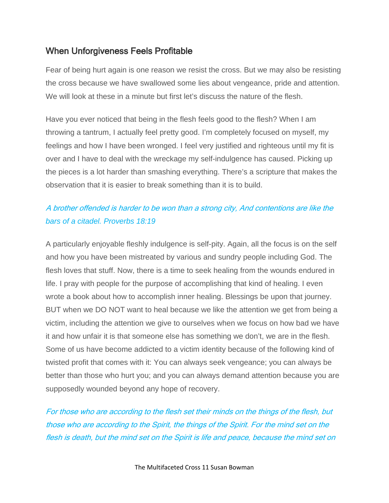#### When Unforgiveness Feels Profitable

Fear of being hurt again is one reason we resist the cross. But we may also be resisting the cross because we have swallowed some lies about vengeance, pride and attention. We will look at these in a minute but first let's discuss the nature of the flesh.

Have you ever noticed that being in the flesh feels good to the flesh? When I am throwing a tantrum, I actually feel pretty good. I'm completely focused on myself, my feelings and how I have been wronged. I feel very justified and righteous until my fit is over and I have to deal with the wreckage my self-indulgence has caused. Picking up the pieces is a lot harder than smashing everything. There's a scripture that makes the observation that it is easier to break something than it is to build.

#### A brother offended is harder to be won than a strong city, And contentions are like the *bars of a citadel. Proverbs 18:19*

A particularly enjoyable fleshly indulgence is self-pity. Again, all the focus is on the self and how you have been mistreated by various and sundry people including God. The flesh loves that stuff. Now, there is a time to seek healing from the wounds endured in life. I pray with people for the purpose of accomplishing that kind of healing. I even wrote a book about how to accomplish inner healing. Blessings be upon that journey. BUT when we DO NOT want to heal because we like the attention we get from being a victim, including the attention we give to ourselves when we focus on how bad we have it and how unfair it is that someone else has something we don't, we are in the flesh. Some of us have become addicted to a victim identity because of the following kind of twisted profit that comes with it: You can always seek vengeance; you can always be better than those who hurt you; and you can always demand attention because you are supposedly wounded beyond any hope of recovery.

For those who are according to the flesh set their minds on the things of the flesh, but those who are according to the Spirit, the things of the Spirit. For the mind set on the flesh is death, but the mind set on the Spirit is life and peace, because the mind set on

The Multifaceted Cross 11 Susan Bowman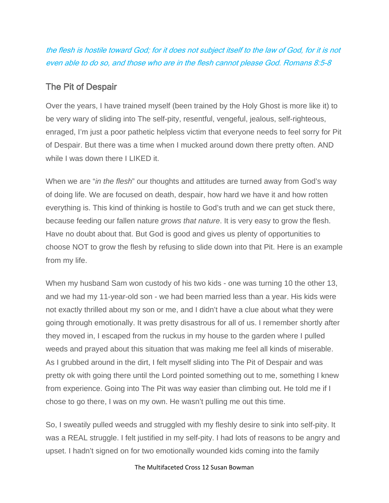the flesh is hostile toward God; for it does not subject itself to the law of God, for it is not even able to do so, and those who are in the flesh cannot please God. Romans 8:5-8

#### The Pit of Despair

Over the years, I have trained myself (been trained by the Holy Ghost is more like it) to be very wary of sliding into The self-pity, resentful, vengeful, jealous, self-righteous, enraged, I'm just a poor pathetic helpless victim that everyone needs to feel sorry for Pit of Despair. But there was a time when I mucked around down there pretty often. AND while I was down there I LIKED it.

When we are "*in the flesh*" our thoughts and attitudes are turned away from God's way of doing life. We are focused on death, despair, how hard we have it and how rotten everything is. This kind of thinking is hostile to God's truth and we can get stuck there, because feeding our fallen nature *grows that nature*. It is very easy to grow the flesh. Have no doubt about that. But God is good and gives us plenty of opportunities to choose NOT to grow the flesh by refusing to slide down into that Pit. Here is an example from my life.

When my husband Sam won custody of his two kids - one was turning 10 the other 13, and we had my 11-year-old son - we had been married less than a year. His kids were not exactly thrilled about my son or me, and I didn't have a clue about what they were going through emotionally. It was pretty disastrous for all of us. I remember shortly after they moved in, I escaped from the ruckus in my house to the garden where I pulled weeds and prayed about this situation that was making me feel all kinds of miserable. As I grubbed around in the dirt, I felt myself sliding into The Pit of Despair and was pretty ok with going there until the Lord pointed something out to me, something I knew from experience. Going into The Pit was way easier than climbing out. He told me if I chose to go there, I was on my own. He wasn't pulling me out this time.

So, I sweatily pulled weeds and struggled with my fleshly desire to sink into self-pity. It was a REAL struggle. I felt justified in my self-pity. I had lots of reasons to be angry and upset. I hadn't signed on for two emotionally wounded kids coming into the family

#### The Multifaceted Cross 12 Susan Bowman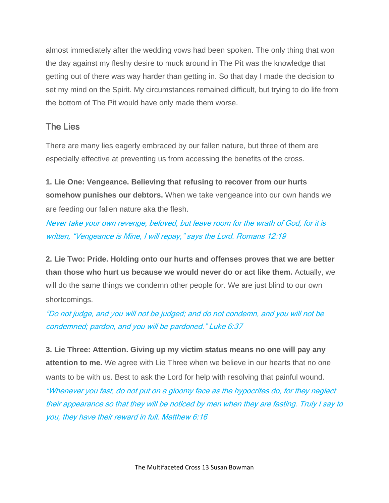almost immediately after the wedding vows had been spoken. The only thing that won the day against my fleshy desire to muck around in The Pit was the knowledge that getting out of there was way harder than getting in. So that day I made the decision to set my mind on the Spirit. My circumstances remained difficult, but trying to do life from the bottom of The Pit would have only made them worse.

#### The Lies

There are many lies eagerly embraced by our fallen nature, but three of them are especially effective at preventing us from accessing the benefits of the cross.

**1. Lie One: Vengeance. Believing that refusing to recover from our hurts somehow punishes our debtors.** When we take vengeance into our own hands we are feeding our fallen nature aka the flesh.

Never take your own revenge, beloved, but leave room for the wrath of God, for it is written, "Vengeance is Mine, I will repay," says the Lord. Romans 12:19

**2. Lie Two: Pride. Holding onto our hurts and offenses proves that we are better than those who hurt us because we would never do or act like them.** Actually, we will do the same things we condemn other people for. We are just blind to our own shortcomings.

"Do not judge, and you will not be judged; and do not condemn, and you will not be condemned; pardon, and you will be pardoned." Luke 6:37

**3. Lie Three: Attention. Giving up my victim status means no one will pay any attention to me.** We agree with Lie Three when we believe in our hearts that no one wants to be with us. Best to ask the Lord for help with resolving that painful wound. "Whenever you fast, do not put on a gloomy face as the hypocrites do, for they neglect their appearance so that they will be noticed by men when they are fasting. Truly I say to you, they have their reward in full. Matthew 6:16